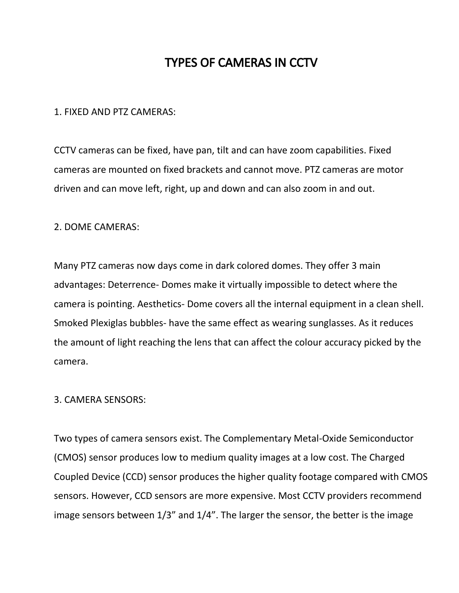# TYPES OF CAMERAS IN CCTV

### 1. FIXED AND PTZ CAMERAS:

CCTV cameras can be fixed, have pan, tilt and can have zoom capabilities. Fixed cameras are mounted on fixed brackets and cannot move. PTZ cameras are motor driven and can move left, right, up and down and can also zoom in and out.

#### 2. DOME CAMERAS:

Many PTZ cameras now days come in dark colored domes. They offer 3 main advantages: Deterrence- Domes make it virtually impossible to detect where the camera is pointing. Aesthetics- Dome covers all the internal equipment in a clean shell. Smoked Plexiglas bubbles- have the same effect as wearing sunglasses. As it reduces the amount of light reaching the lens that can affect the colour accuracy picked by the camera.

## 3. CAMERA SENSORS:

Two types of camera sensors exist. The Complementary Metal-Oxide Semiconductor (CMOS) sensor produces low to medium quality images at a low cost. The Charged Coupled Device (CCD) sensor produces the higher quality footage compared with CMOS sensors. However, CCD sensors are more expensive. Most CCTV providers recommend image sensors between 1/3" and 1/4". The larger the sensor, the better is the image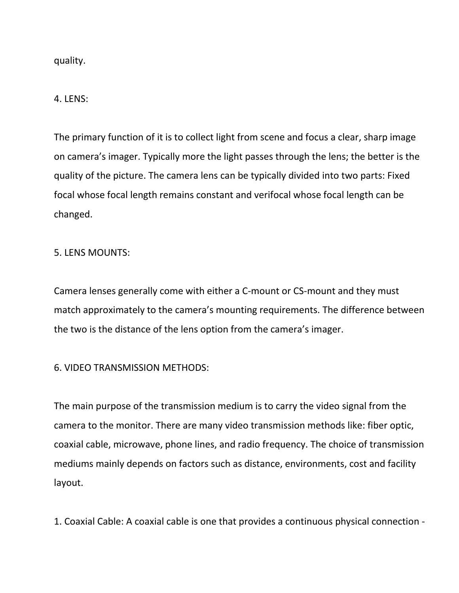quality.

4. LENS:

The primary function of it is to collect light from scene and focus a clear, sharp image on camera's imager. Typically more the light passes through the lens; the better is the quality of the picture. The camera lens can be typically divided into two parts: Fixed focal whose focal length remains constant and verifocal whose focal length can be changed.

## 5. LENS MOUNTS:

Camera lenses generally come with either a C-mount or CS-mount and they must match approximately to the camera's mounting requirements. The difference between the two is the distance of the lens option from the camera's imager.

## 6. VIDEO TRANSMISSION METHODS:

The main purpose of the transmission medium is to carry the video signal from the camera to the monitor. There are many video transmission methods like: fiber optic, coaxial cable, microwave, phone lines, and radio frequency. The choice of transmission mediums mainly depends on factors such as distance, environments, cost and facility layout.

1. Coaxial Cable: A coaxial cable is one that provides a continuous physical connection -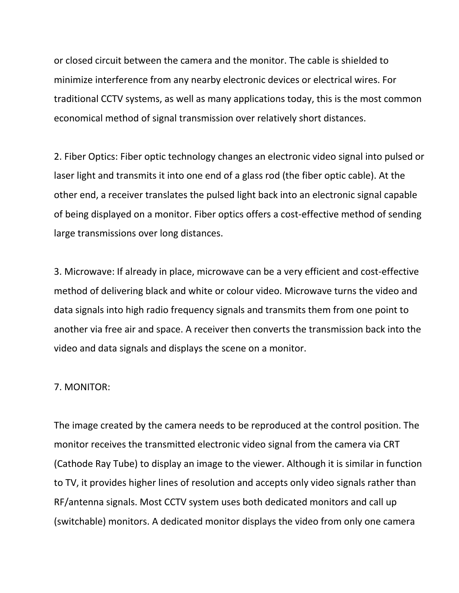or closed circuit between the camera and the monitor. The cable is shielded to minimize interference from any nearby electronic devices or electrical wires. For traditional CCTV systems, as well as many applications today, this is the most common economical method of signal transmission over relatively short distances.

2. Fiber Optics: Fiber optic technology changes an electronic video signal into pulsed or laser light and transmits it into one end of a glass rod (the fiber optic cable). At the other end, a receiver translates the pulsed light back into an electronic signal capable of being displayed on a monitor. Fiber optics offers a cost-effective method of sending large transmissions over long distances.

3. Microwave: If already in place, microwave can be a very efficient and cost-effective method of delivering black and white or colour video. Microwave turns the video and data signals into high radio frequency signals and transmits them from one point to another via free air and space. A receiver then converts the transmission back into the video and data signals and displays the scene on a monitor.

### 7. MONITOR:

The image created by the camera needs to be reproduced at the control position. The monitor receives the transmitted electronic video signal from the camera via CRT (Cathode Ray Tube) to display an image to the viewer. Although it is similar in function to TV, it provides higher lines of resolution and accepts only video signals rather than RF/antenna signals. Most CCTV system uses both dedicated monitors and call up (switchable) monitors. A dedicated monitor displays the video from only one camera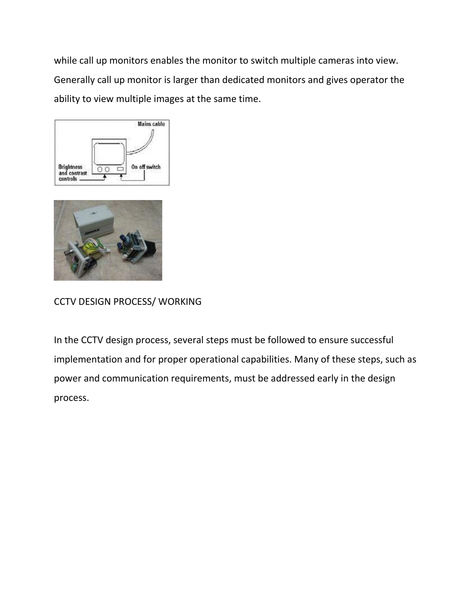while call up monitors enables the monitor to switch multiple cameras into view. Generally call up monitor is larger than dedicated monitors and gives operator the ability to view multiple images at the same time.





CCTV DESIGN PROCESS/ WORKING

In the CCTV design process, several steps must be followed to ensure successful implementation and for proper operational capabilities. Many of these steps, such as power and communication requirements, must be addressed early in the design process.